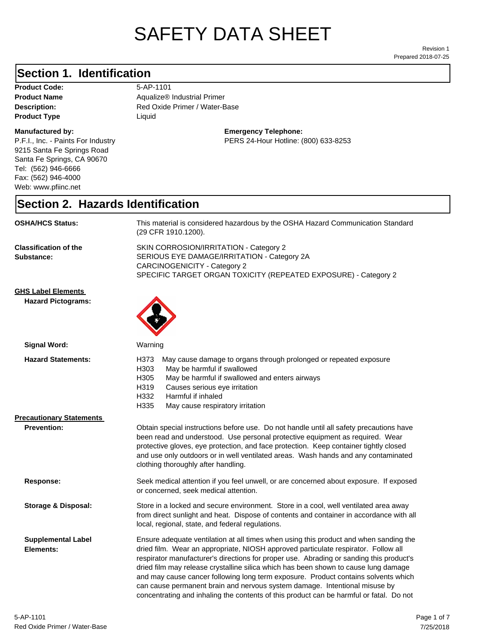# SAFETY DATA SHEET

Prepared 2018-07-25 Revision 1

### **Section 1. Identification**

| <b>Product Code:</b> |
|----------------------|
| <b>Product Name</b>  |
| Description:         |
| <b>Product Type</b>  |

#### **Manufactured by:**

P.F.I., Inc. - Paints For Industry 9215 Santa Fe Springs Road Santa Fe Springs, CA 90670 Tel: (562) 946-6666 Fax: (562) 946-4000 Web: www.pfiinc.net

**Product Code:** 5-AP-1101

Red Oxide Primer / Water-Base **Aqualize® Industrial Primer Liquid** 

> **Emergency Telephone:** PERS 24-Hour Hotline: (800) 633-8253

#### **Section 2. Hazards Identification**

| <b>OSHA/HCS Status:</b>                                | This material is considered hazardous by the OSHA Hazard Communication Standard<br>(29 CFR 1910.1200).                                                                                                                                                                                                                                                                                                                                                                                                                                                                                                                       |  |
|--------------------------------------------------------|------------------------------------------------------------------------------------------------------------------------------------------------------------------------------------------------------------------------------------------------------------------------------------------------------------------------------------------------------------------------------------------------------------------------------------------------------------------------------------------------------------------------------------------------------------------------------------------------------------------------------|--|
| <b>Classification of the</b><br>Substance:             | SKIN CORROSION/IRRITATION - Category 2<br>SERIOUS EYE DAMAGE/IRRITATION - Category 2A<br><b>CARCINOGENICITY - Category 2</b><br>SPECIFIC TARGET ORGAN TOXICITY (REPEATED EXPOSURE) - Category 2                                                                                                                                                                                                                                                                                                                                                                                                                              |  |
| <b>GHS Label Elements</b><br><b>Hazard Pictograms:</b> |                                                                                                                                                                                                                                                                                                                                                                                                                                                                                                                                                                                                                              |  |
| <b>Signal Word:</b>                                    | Warning                                                                                                                                                                                                                                                                                                                                                                                                                                                                                                                                                                                                                      |  |
| <b>Hazard Statements:</b>                              | H373<br>May cause damage to organs through prolonged or repeated exposure<br>H303<br>May be harmful if swallowed<br>H305<br>May be harmful if swallowed and enters airways<br>H319<br>Causes serious eye irritation<br>H332<br>Harmful if inhaled<br>H335<br>May cause respiratory irritation                                                                                                                                                                                                                                                                                                                                |  |
| <b>Precautionary Statements</b>                        |                                                                                                                                                                                                                                                                                                                                                                                                                                                                                                                                                                                                                              |  |
| <b>Prevention:</b>                                     | Obtain special instructions before use. Do not handle until all safety precautions have<br>been read and understood. Use personal protective equipment as required. Wear<br>protective gloves, eye protection, and face protection. Keep container tightly closed<br>and use only outdoors or in well ventilated areas. Wash hands and any contaminated<br>clothing thoroughly after handling.                                                                                                                                                                                                                               |  |
| Response:                                              | Seek medical attention if you feel unwell, or are concerned about exposure. If exposed<br>or concerned, seek medical attention.                                                                                                                                                                                                                                                                                                                                                                                                                                                                                              |  |
| <b>Storage &amp; Disposal:</b>                         | Store in a locked and secure environment. Store in a cool, well ventilated area away<br>from direct sunlight and heat. Dispose of contents and container in accordance with all<br>local, regional, state, and federal regulations.                                                                                                                                                                                                                                                                                                                                                                                          |  |
| <b>Supplemental Label</b><br>Elements:                 | Ensure adequate ventilation at all times when using this product and when sanding the<br>dried film. Wear an appropriate, NIOSH approved particulate respirator. Follow all<br>respirator manufacturer's directions for proper use. Abrading or sanding this product's<br>dried film may release crystalline silica which has been shown to cause lung damage<br>and may cause cancer following long term exposure. Product contains solvents which<br>can cause permanent brain and nervous system damage. Intentional misuse by<br>concentrating and inhaling the contents of this product can be harmful or fatal. Do not |  |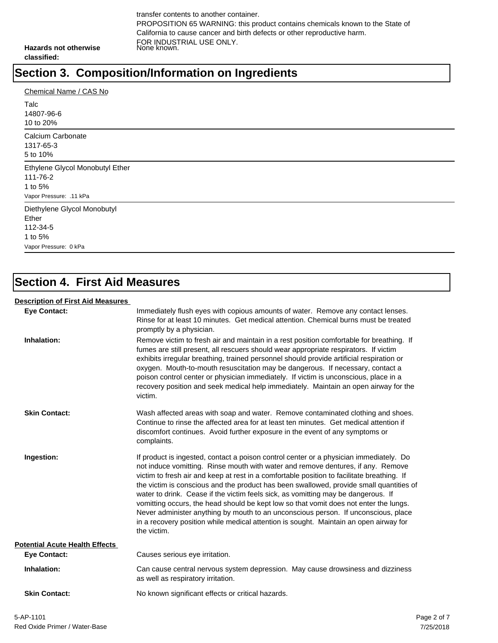transfer contents to another container. PROPOSITION 65 WARNING: this product contains chemicals known to the State of California to cause cancer and birth defects or other reproductive harm. FOR INDUSTRIAL USE ONLY. None known.

**Hazards not otherwise classified:**

## **Section 3. Composition/Information on Ingredients**

| Chemical Name / CAS No<br>Talc<br>14807-96-6<br>10 to 20%                            |
|--------------------------------------------------------------------------------------|
| Calcium Carbonate<br>1317-65-3<br>5 to 10%                                           |
| Ethylene Glycol Monobutyl Ether<br>111-76-2<br>1 to 5%<br>Vapor Pressure: .11 kPa    |
| Diethylene Glycol Monobutyl<br>Ether<br>112-34-5<br>1 to 5%<br>Vapor Pressure: 0 kPa |

### **Section 4. First Aid Measures**

#### **Description of First Aid Measures**

| <b>Eye Contact:</b>                   | Immediately flush eyes with copious amounts of water. Remove any contact lenses.<br>Rinse for at least 10 minutes. Get medical attention. Chemical burns must be treated<br>promptly by a physician.                                                                                                                                                                                                                                                                                                                                                                                                                                                                                                                                            |
|---------------------------------------|-------------------------------------------------------------------------------------------------------------------------------------------------------------------------------------------------------------------------------------------------------------------------------------------------------------------------------------------------------------------------------------------------------------------------------------------------------------------------------------------------------------------------------------------------------------------------------------------------------------------------------------------------------------------------------------------------------------------------------------------------|
| Inhalation:                           | Remove victim to fresh air and maintain in a rest position comfortable for breathing. If<br>fumes are still present, all rescuers should wear appropriate respirators. If victim<br>exhibits irregular breathing, trained personnel should provide artificial respiration or<br>oxygen. Mouth-to-mouth resuscitation may be dangerous. If necessary, contact a<br>poison control center or physician immediately. If victim is unconscious, place in a<br>recovery position and seek medical help immediately. Maintain an open airway for the<br>victim.                                                                                                                                                                                       |
| <b>Skin Contact:</b>                  | Wash affected areas with soap and water. Remove contaminated clothing and shoes.<br>Continue to rinse the affected area for at least ten minutes. Get medical attention if<br>discomfort continues. Avoid further exposure in the event of any symptoms or<br>complaints.                                                                                                                                                                                                                                                                                                                                                                                                                                                                       |
| Ingestion:                            | If product is ingested, contact a poison control center or a physician immediately. Do<br>not induce vomitting. Rinse mouth with water and remove dentures, if any. Remove<br>victim to fresh air and keep at rest in a comfortable position to facilitate breathing. If<br>the victim is conscious and the product has been swallowed, provide small quantities of<br>water to drink. Cease if the victim feels sick, as vomitting may be dangerous. If<br>vomitting occurs, the head should be kept low so that vomit does not enter the lungs.<br>Never administer anything by mouth to an unconscious person. If unconscious, place<br>in a recovery position while medical attention is sought. Maintain an open airway for<br>the victim. |
| <b>Potential Acute Health Effects</b> |                                                                                                                                                                                                                                                                                                                                                                                                                                                                                                                                                                                                                                                                                                                                                 |
| <b>Eye Contact:</b>                   | Causes serious eye irritation.                                                                                                                                                                                                                                                                                                                                                                                                                                                                                                                                                                                                                                                                                                                  |
| Inhalation:                           | Can cause central nervous system depression. May cause drowsiness and dizziness<br>as well as respiratory irritation.                                                                                                                                                                                                                                                                                                                                                                                                                                                                                                                                                                                                                           |
| <b>Skin Contact:</b>                  | No known significant effects or critical hazards.                                                                                                                                                                                                                                                                                                                                                                                                                                                                                                                                                                                                                                                                                               |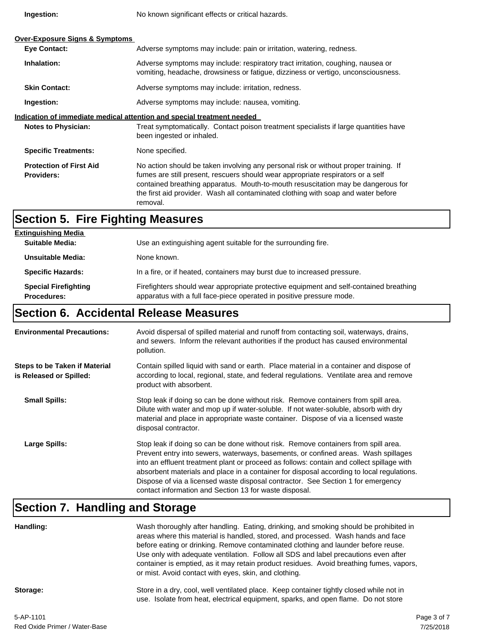**Ingestion:**

**Procedures:**

No known significant effects or critical hazards.

| <b>Over-Exposure Signs &amp; Symptoms</b><br><b>Eye Contact:</b>       | Adverse symptoms may include: pain or irritation, watering, redness.                                                                                                                                                                                                                                                                                         |
|------------------------------------------------------------------------|--------------------------------------------------------------------------------------------------------------------------------------------------------------------------------------------------------------------------------------------------------------------------------------------------------------------------------------------------------------|
| Inhalation:                                                            | Adverse symptoms may include: respiratory tract irritation, coughing, nausea or<br>vomiting, headache, drowsiness or fatigue, dizziness or vertigo, unconsciousness.                                                                                                                                                                                         |
| <b>Skin Contact:</b>                                                   | Adverse symptoms may include: irritation, redness.                                                                                                                                                                                                                                                                                                           |
| Ingestion:                                                             | Adverse symptoms may include: nausea, vomiting.                                                                                                                                                                                                                                                                                                              |
| Indication of immediate medical attention and special treatment needed |                                                                                                                                                                                                                                                                                                                                                              |
| <b>Notes to Physician:</b>                                             | Treat symptomatically. Contact poison treatment specialists if large quantities have<br>been ingested or inhaled.                                                                                                                                                                                                                                            |
| <b>Specific Treatments:</b>                                            | None specified.                                                                                                                                                                                                                                                                                                                                              |
| <b>Protection of First Aid</b><br><b>Providers:</b>                    | No action should be taken involving any personal risk or without proper training. If<br>fumes are still present, rescuers should wear appropriate respirators or a self<br>contained breathing apparatus. Mouth-to-mouth resuscitation may be dangerous for<br>the first aid provider. Wash all contaminated clothing with soap and water before<br>removal. |

| <b>Section 5. Fire Fighting Measures</b> |                                                                                        |
|------------------------------------------|----------------------------------------------------------------------------------------|
| <b>Extinguishing Media</b>               |                                                                                        |
| <b>Suitable Media:</b>                   | Use an extinguishing agent suitable for the surrounding fire.                          |
| Unsuitable Media:                        | None known.                                                                            |
| <b>Specific Hazards:</b>                 | In a fire, or if heated, containers may burst due to increased pressure.               |
| <b>Special Firefighting</b>              | Firefighters should wear appropriate protective equipment and self-contained breathing |

#### **Section 6. Accidental Release Measures**

| <b>Environmental Precautions:</b>                               | Avoid dispersal of spilled material and runoff from contacting soil, waterways, drains,<br>and sewers. Inform the relevant authorities if the product has caused environmental<br>pollution.                                                                                                                                                                                                                                                                                                                     |
|-----------------------------------------------------------------|------------------------------------------------------------------------------------------------------------------------------------------------------------------------------------------------------------------------------------------------------------------------------------------------------------------------------------------------------------------------------------------------------------------------------------------------------------------------------------------------------------------|
| <b>Steps to be Taken if Material</b><br>is Released or Spilled: | Contain spilled liquid with sand or earth. Place material in a container and dispose of<br>according to local, regional, state, and federal regulations. Ventilate area and remove<br>product with absorbent.                                                                                                                                                                                                                                                                                                    |
| <b>Small Spills:</b>                                            | Stop leak if doing so can be done without risk. Remove containers from spill area.<br>Dilute with water and mop up if water-soluble. If not water-soluble, absorb with dry<br>material and place in appropriate waste container. Dispose of via a licensed waste<br>disposal contractor.                                                                                                                                                                                                                         |
| Large Spills:                                                   | Stop leak if doing so can be done without risk. Remove containers from spill area.<br>Prevent entry into sewers, waterways, basements, or confined areas. Wash spillages<br>into an effluent treatment plant or proceed as follows: contain and collect spillage with<br>absorbent materials and place in a container for disposal according to local regulations.<br>Dispose of via a licensed waste disposal contractor. See Section 1 for emergency<br>contact information and Section 13 for waste disposal. |

apparatus with a full face-piece operated in positive pressure mode.

## **Section 7. Handling and Storage**

| Handling:                   | Wash thoroughly after handling. Eating, drinking, and smoking should be prohibited in<br>areas where this material is handled, stored, and processed. Wash hands and face<br>before eating or drinking. Remove contaminated clothing and launder before reuse.<br>Use only with adequate ventilation. Follow all SDS and label precautions even after<br>container is emptied, as it may retain product residues. Avoid breathing fumes, vapors,<br>or mist. Avoid contact with eyes, skin, and clothing. |
|-----------------------------|-----------------------------------------------------------------------------------------------------------------------------------------------------------------------------------------------------------------------------------------------------------------------------------------------------------------------------------------------------------------------------------------------------------------------------------------------------------------------------------------------------------|
| Storage:                    | Store in a dry, cool, well ventilated place. Keep container tightly closed while not in<br>use. Isolate from heat, electrical equipment, sparks, and open flame. Do not store                                                                                                                                                                                                                                                                                                                             |
| $F$ $A$ $D$ $A$ $A$ $D$ $A$ | . <del>.</del>                                                                                                                                                                                                                                                                                                                                                                                                                                                                                            |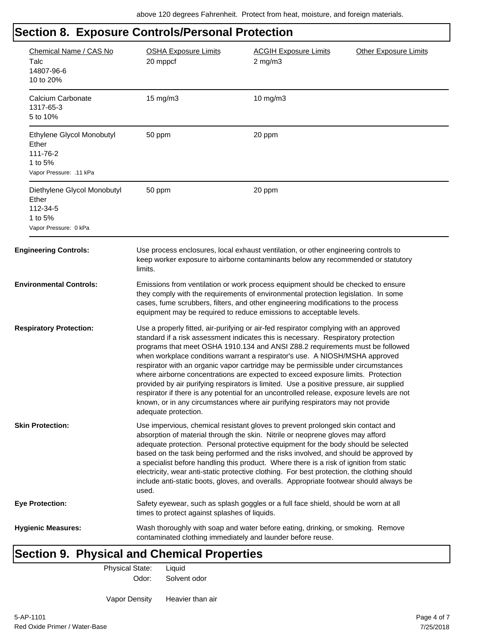#### **Section 8. Exposure Controls/Personal Protection** Chemical Name / CAS No OSHA Exposure Limits ACGIH Exposure Limits Other Exposure Limits Talc 20 mppcf 2 mg/m3 14807-96-6 10 to 20% Calcium Carbonate 15 mg/m3 10 mg/m3 1317-65-3 5 to 10% Ethylene Glycol Monobutyl 50 ppm 20 ppm Ether 111-76-2 1 to 5% Vapor Pressure: .11 kPa Diethylene Glycol Monobutyl 50 ppm 20 ppm Ether 112-34-5 1 to 5% Vapor Pressure: 0 kPa **Engineering Controls:** Use process enclosures, local exhaust ventilation, or other engineering controls to keep worker exposure to airborne contaminants below any recommended or statutory limits. **Environmental Controls:** Emissions from ventilation or work process equipment should be checked to ensure they comply with the requirements of environmental protection legislation. In some cases, fume scrubbers, filters, and other engineering modifications to the process equipment may be required to reduce emissions to acceptable levels. **Respiratory Protection:** Use a properly fitted, air-purifying or air-fed respirator complying with an approved standard if a risk assessment indicates this is necessary. Respiratory protection programs that meet OSHA 1910.134 and ANSI Z88.2 requirements must be followed when workplace conditions warrant a respirator's use. A NIOSH/MSHA approved respirator with an organic vapor cartridge may be permissible under circumstances where airborne concentrations are expected to exceed exposure limits. Protection provided by air purifying respirators is limited. Use a positive pressure, air supplied respirator if there is any potential for an uncontrolled release, exposure levels are not known, or in any circumstances where air purifying respirators may not provide adequate protection. **Skin Protection:** Use impervious, chemical resistant gloves to prevent prolonged skin contact and absorption of material through the skin. Nitrile or neoprene gloves may afford adequate protection. Personal protective equipment for the body should be selected based on the task being performed and the risks involved, and should be approved by a specialist before handling this product. Where there is a risk of ignition from static electricity, wear anti-static protective clothing. For best protection, the clothing should include anti-static boots, gloves, and overalls. Appropriate footwear should always be used. **Eye Protection:** Safety eyewear, such as splash goggles or a full face shield, should be worn at all times to protect against splashes of liquids. **Hygienic Measures:** Wash thoroughly with soap and water before eating, drinking, or smoking. Remove contaminated clothing immediately and launder before reuse.

### **Section 9. Physical and Chemical Properties**

Physical State: Liquid

Odor: Solvent odor

Vapor Density Heavier than air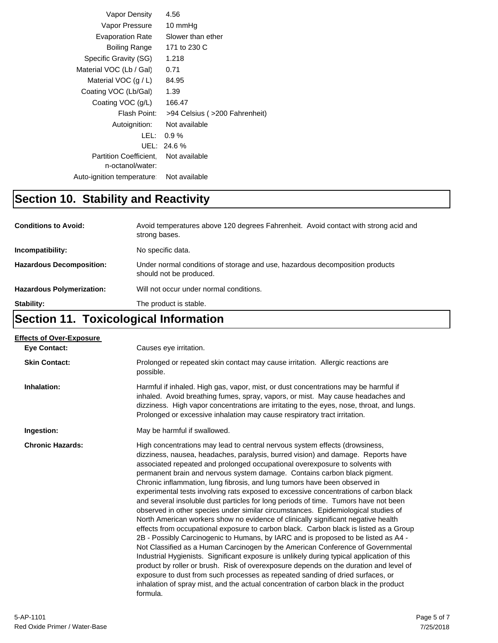| Vapor Density                                     | 4.56                          |
|---------------------------------------------------|-------------------------------|
| Vapor Pressure                                    | 10 mmHg                       |
| <b>Evaporation Rate</b>                           | Slower than ether             |
| Boiling Range                                     | 171 to 230 C                  |
| Specific Gravity (SG)                             | 1.218                         |
| Material VOC (Lb / Gal)                           | 0.71                          |
| Material VOC $(g/L)$                              | 84.95                         |
| Coating VOC (Lb/Gal)                              | 1.39                          |
| Coating VOC (g/L)                                 | 166.47                        |
| Flash Point:                                      | >94 Celsius (>200 Fahrenheit) |
| Autoignition:                                     | Not available                 |
| LEL:                                              | $0.9\%$                       |
|                                                   | UEL: 24.6 %                   |
| <b>Partition Coefficient.</b><br>n-octanol/water: | Not available                 |
| Auto-ignition temperature:                        | Not available                 |

## **Section 10. Stability and Reactivity**

| <b>Conditions to Avoid:</b>      | Avoid temperatures above 120 degrees Fahrenheit. Avoid contact with strong acid and<br>strong bases.    |
|----------------------------------|---------------------------------------------------------------------------------------------------------|
| Incompatibility:                 | No specific data.                                                                                       |
| <b>Hazardous Decomposition:</b>  | Under normal conditions of storage and use, hazardous decomposition products<br>should not be produced. |
| <b>Hazardous Polymerization:</b> | Will not occur under normal conditions.                                                                 |
| Stability:                       | The product is stable.                                                                                  |

## **Section 11. Toxicological Information**

| <b>Effects of Over-Exposure</b> |                                                                                                                                                                                                                                                                                                                                                                                                                                                                                                                                                                                                                                                                                                                                                                                                                                                                                                                                                                                                                                                                                                                                                                                                                                                                                                                                                                                                                      |
|---------------------------------|----------------------------------------------------------------------------------------------------------------------------------------------------------------------------------------------------------------------------------------------------------------------------------------------------------------------------------------------------------------------------------------------------------------------------------------------------------------------------------------------------------------------------------------------------------------------------------------------------------------------------------------------------------------------------------------------------------------------------------------------------------------------------------------------------------------------------------------------------------------------------------------------------------------------------------------------------------------------------------------------------------------------------------------------------------------------------------------------------------------------------------------------------------------------------------------------------------------------------------------------------------------------------------------------------------------------------------------------------------------------------------------------------------------------|
| <b>Eye Contact:</b>             | Causes eye irritation.                                                                                                                                                                                                                                                                                                                                                                                                                                                                                                                                                                                                                                                                                                                                                                                                                                                                                                                                                                                                                                                                                                                                                                                                                                                                                                                                                                                               |
| <b>Skin Contact:</b>            | Prolonged or repeated skin contact may cause irritation. Allergic reactions are<br>possible.                                                                                                                                                                                                                                                                                                                                                                                                                                                                                                                                                                                                                                                                                                                                                                                                                                                                                                                                                                                                                                                                                                                                                                                                                                                                                                                         |
| Inhalation:                     | Harmful if inhaled. High gas, vapor, mist, or dust concentrations may be harmful if<br>inhaled. Avoid breathing fumes, spray, vapors, or mist. May cause headaches and<br>dizziness. High vapor concentrations are irritating to the eyes, nose, throat, and lungs.<br>Prolonged or excessive inhalation may cause respiratory tract irritation.                                                                                                                                                                                                                                                                                                                                                                                                                                                                                                                                                                                                                                                                                                                                                                                                                                                                                                                                                                                                                                                                     |
| Ingestion:                      | May be harmful if swallowed.                                                                                                                                                                                                                                                                                                                                                                                                                                                                                                                                                                                                                                                                                                                                                                                                                                                                                                                                                                                                                                                                                                                                                                                                                                                                                                                                                                                         |
| <b>Chronic Hazards:</b>         | High concentrations may lead to central nervous system effects (drowsiness,<br>dizziness, nausea, headaches, paralysis, burred vision) and damage. Reports have<br>associated repeated and prolonged occupational overexposure to solvents with<br>permanent brain and nervous system damage. Contains carbon black pigment.<br>Chronic inflammation, lung fibrosis, and lung tumors have been observed in<br>experimental tests involving rats exposed to excessive concentrations of carbon black<br>and several insoluble dust particles for long periods of time. Tumors have not been<br>observed in other species under similar circumstances. Epidemiological studies of<br>North American workers show no evidence of clinically significant negative health<br>effects from occupational exposure to carbon black. Carbon black is listed as a Group<br>2B - Possibly Carcinogenic to Humans, by IARC and is proposed to be listed as A4 -<br>Not Classified as a Human Carcinogen by the American Conference of Governmental<br>Industrial Hygienists. Significant exposure is unlikely during typical application of this<br>product by roller or brush. Risk of overexposure depends on the duration and level of<br>exposure to dust from such processes as repeated sanding of dried surfaces, or<br>inhalation of spray mist, and the actual concentration of carbon black in the product<br>formula. |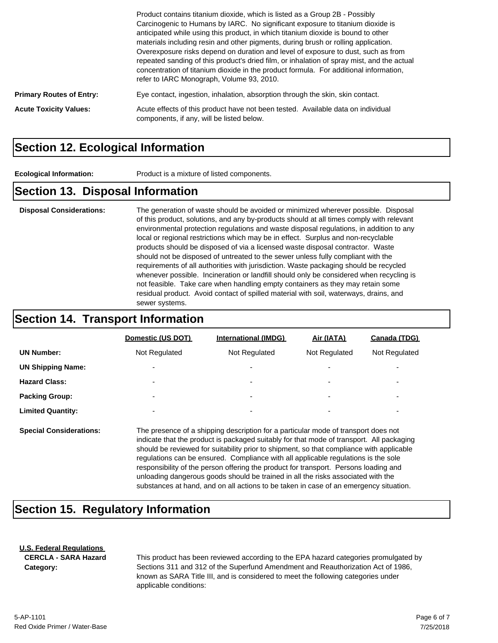|                                 | Product contains titanium dioxide, which is listed as a Group 2B - Possibly<br>Carcinogenic to Humans by IARC. No significant exposure to titanium dioxide is<br>anticipated while using this product, in which titanium dioxide is bound to other<br>materials including resin and other pigments, during brush or rolling application.<br>Overexposure risks depend on duration and level of exposure to dust, such as from<br>repeated sanding of this product's dried film, or inhalation of spray mist, and the actual<br>concentration of titanium dioxide in the product formula. For additional information,<br>refer to IARC Monograph, Volume 93, 2010. |
|---------------------------------|-------------------------------------------------------------------------------------------------------------------------------------------------------------------------------------------------------------------------------------------------------------------------------------------------------------------------------------------------------------------------------------------------------------------------------------------------------------------------------------------------------------------------------------------------------------------------------------------------------------------------------------------------------------------|
| <b>Primary Routes of Entry:</b> | Eye contact, ingestion, inhalation, absorption through the skin, skin contact.                                                                                                                                                                                                                                                                                                                                                                                                                                                                                                                                                                                    |
| <b>Acute Toxicity Values:</b>   | Acute effects of this product have not been tested. Available data on individual<br>components, if any, will be listed below.                                                                                                                                                                                                                                                                                                                                                                                                                                                                                                                                     |

#### **Section 12. Ecological Information**

**Ecological Information:** Product is a mixture of listed components.

#### **Section 13. Disposal Information**

**Disposal Considerations:** The generation of waste should be avoided or minimized wherever possible. Disposal of this product, solutions, and any by-products should at all times comply with relevant environmental protection regulations and waste disposal regulations, in addition to any local or regional restrictions which may be in effect. Surplus and non-recyclable products should be disposed of via a licensed waste disposal contractor. Waste should not be disposed of untreated to the sewer unless fully compliant with the requirements of all authorities with jurisdiction. Waste packaging should be recycled whenever possible. Incineration or landfill should only be considered when recycling is not feasible. Take care when handling empty containers as they may retain some residual product. Avoid contact of spilled material with soil, waterways, drains, and sewer systems.

#### **Section 14. Transport Information**

|                          | Domestic (US DOT)        | <b>International (IMDG)</b> | Air (IATA)               | Canada (TDG)             |
|--------------------------|--------------------------|-----------------------------|--------------------------|--------------------------|
| <b>UN Number:</b>        | Not Regulated            | Not Regulated               | Not Regulated            | Not Regulated            |
| <b>UN Shipping Name:</b> | $\overline{\phantom{a}}$ | ۰                           | $\overline{\phantom{0}}$ | ۰                        |
| <b>Hazard Class:</b>     | $\overline{\phantom{a}}$ | ۰                           | $\overline{\phantom{0}}$ | ۰                        |
| <b>Packing Group:</b>    | $\overline{\phantom{0}}$ | ۰                           | $\overline{\phantom{0}}$ | $\overline{\phantom{0}}$ |
| <b>Limited Quantity:</b> | $\overline{\phantom{0}}$ | ۰                           | $\overline{\phantom{0}}$ | $\overline{\phantom{0}}$ |
|                          |                          |                             |                          |                          |

**Special Considerations:** The presence of a shipping description for a particular mode of transport does not indicate that the product is packaged suitably for that mode of transport. All packaging should be reviewed for suitability prior to shipment, so that compliance with applicable regulations can be ensured. Compliance with all applicable regulations is the sole responsibility of the person offering the product for transport. Persons loading and unloading dangerous goods should be trained in all the risks associated with the substances at hand, and on all actions to be taken in case of an emergency situation.

### **Section 15. Regulatory Information**

#### **U.S. Federal Regulations**

**CERCLA - SARA Hazard Category:**

This product has been reviewed according to the EPA hazard categories promulgated by Sections 311 and 312 of the Superfund Amendment and Reauthorization Act of 1986, known as SARA Title III, and is considered to meet the following categories under applicable conditions: